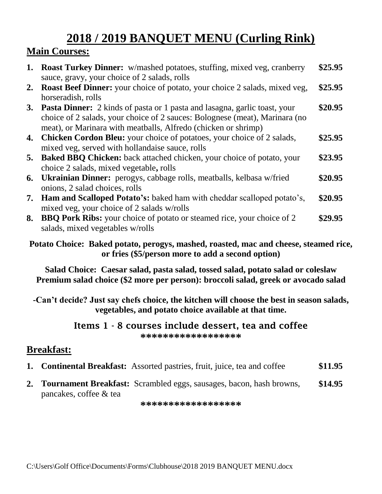# **2018 / 2019 BANQUET MENU (Curling Rink)**

## **Main Courses:**

| 1. | <b>Roast Turkey Dinner:</b> w/mashed potatoes, stuffing, mixed veg, cranberry<br>sauce, gravy, your choice of 2 salads, rolls                                                                                                        | \$25.95 |
|----|--------------------------------------------------------------------------------------------------------------------------------------------------------------------------------------------------------------------------------------|---------|
| 2. | <b>Roast Beef Dinner:</b> your choice of potato, your choice 2 salads, mixed veg,<br>horseradish, rolls                                                                                                                              | \$25.95 |
|    | <b>3. Pasta Dinner:</b> 2 kinds of pasta or 1 pasta and lasagna, garlic toast, your<br>choice of 2 salads, your choice of 2 sauces: Bolognese (meat), Marinara (no<br>meat), or Marinara with meatballs, Alfredo (chicken or shrimp) | \$20.95 |
|    | <b>4. Chicken Cordon Bleu:</b> your choice of potatoes, your choice of 2 salads,<br>mixed veg, served with hollandaise sauce, rolls                                                                                                  | \$25.95 |
| 5. | <b>Baked BBQ Chicken:</b> back attached chicken, your choice of potato, your<br>choice 2 salads, mixed vegetable, rolls                                                                                                              | \$23.95 |
|    | <b>6.</b> Ukrainian Dinner: perogys, cabbage rolls, meatballs, kelbasa w/fried<br>onions, 2 salad choices, rolls                                                                                                                     | \$20.95 |
|    | 7. Ham and Scalloped Potato's: baked ham with cheddar scalloped potato's,<br>mixed veg, your choice of 2 salads w/rolls                                                                                                              | \$20.95 |
| 8. | <b>BBQ Pork Ribs:</b> your choice of potato or steamed rice, your choice of 2<br>salads, mixed vegetables w/rolls                                                                                                                    | \$29.95 |

**Potato Choice: Baked potato, perogys, mashed, roasted, mac and cheese, steamed rice, or fries (\$5/person more to add a second option)**

**Salad Choice: Caesar salad, pasta salad, tossed salad, potato salad or coleslaw Premium salad choice (\$2 more per person): broccoli salad, greek or avocado salad**

**-Can't decide? Just say chefs choice, the kitchen will choose the best in season salads, vegetables, and potato choice available at that time.** 

#### **Items 1 - 8 courses include dessert, tea and coffee \*\*\*\*\*\*\*\*\*\*\*\*\*\*\*\*\*\***

### **Breakfast:**

- **1. Continental Breakfast:** Assorted pastries, fruit, juice, tea and coffee **\$11.95**
- **2. Tournament Breakfast:** Scrambled eggs, sausages, bacon, hash browns, pancakes, coffee & tea **\$14.95**

**\*\*\*\*\*\*\*\*\*\*\*\*\*\*\*\*\*\***